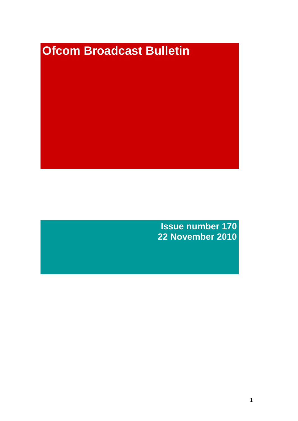# **Ofcom Broadcast Bulletin**

**Issue number 170 22 November 2010**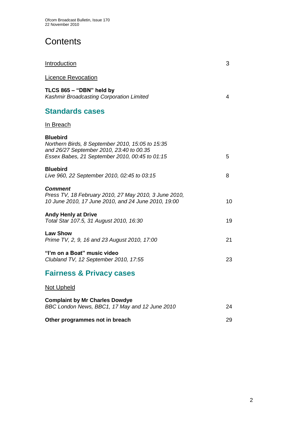# **Contents**

| <b>Introduction</b>                                                                                                                                               | 3  |
|-------------------------------------------------------------------------------------------------------------------------------------------------------------------|----|
| <b>Licence Revocation</b>                                                                                                                                         |    |
| TLCS 865 - "DBN" held by<br>Kashmir Broadcasting Corporation Limited                                                                                              | 4  |
| <b>Standards cases</b>                                                                                                                                            |    |
| In Breach                                                                                                                                                         |    |
| <b>Bluebird</b><br>Northern Birds, 8 September 2010, 15:05 to 15:35<br>and 26/27 September 2010, 23:40 to 00.35<br>Essex Babes, 21 September 2010, 00:45 to 01:15 | 5. |
| <b>Bluebird</b><br>Live 960, 22 September 2010, 02:45 to 03:15                                                                                                    | 8  |
| <b>Comment</b><br>Press TV, 18 February 2010, 27 May 2010, 3 June 2010,<br>10 June 2010, 17 June 2010, and 24 June 2010, 19:00                                    | 10 |
| <b>Andy Henly at Drive</b><br>Total Star 107.5, 31 August 2010, 16:30                                                                                             | 19 |
| <b>Law Show</b><br>Prime TV, 2, 9, 16 and 23 August 2010, 17:00                                                                                                   | 21 |
| "I'm on a Boat" music video<br>Clubland TV, 12 September 2010, 17:55                                                                                              | 23 |
| <b>Fairness &amp; Privacy cases</b>                                                                                                                               |    |
| <b>Not Upheld</b>                                                                                                                                                 |    |
| <b>Complaint by Mr Charles Dowdye</b>                                                                                                                             |    |

*BBC London News, BBC1, 17 May and 12 June 2010* 24 **Other programmes not in breach 29 and 29 and 29 and 29 and 29 and 29 and 29 and 29 and 29 and 29 and 29 and 29 and 29 and 29 and 29 and 29 and 29 and 29 and 29 and 29 and 29 and 20 and 20 and 20 and 20 and 20 and 20 and 2**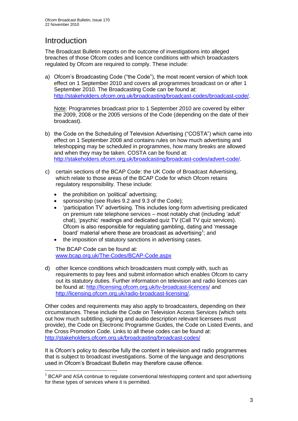# Introduction

1

The Broadcast Bulletin reports on the outcome of investigations into alleged breaches of those Ofcom codes and licence conditions with which broadcasters regulated by Ofcom are required to comply. These include:

a) Ofcom"s Broadcasting Code ("the Code"), the most recent version of which took effect on 1 September 2010 and covers all programmes broadcast on or after 1 September 2010. The Broadcasting Code can be found at: [http://stakeholders.ofcom.org.uk/broadcasting/broadcast-codes/broadcast-code/.](http://stakeholders.ofcom.org.uk/broadcasting/broadcast-codes/broadcast-code/)

Note: Programmes broadcast prior to 1 September 2010 are covered by either the 2009, 2008 or the 2005 versions of the Code (depending on the date of their broadcast).

- b) the Code on the Scheduling of Television Advertising ("COSTA") which came into effect on 1 September 2008 and contains rules on how much advertising and teleshopping may be scheduled in programmes, how many breaks are allowed and when they may be taken. COSTA can be found at: [http://stakeholders.ofcom.org.uk/broadcasting/broadcast-codes/advert-code/.](http://stakeholders.ofcom.org.uk/broadcasting/broadcast-codes/advert-code/)
- c) certain sections of the BCAP Code: the UK Code of Broadcast Advertising, which relate to those areas of the BCAP Code for which Ofcom retains regulatory responsibility. These include:
	- the prohibition on 'political' advertising;
	- sponsorship (see Rules 9.2 and 9.3 of the Code);
	- "participation TV" advertising. This includes long-form advertising predicated on premium rate telephone services – most notably chat (including "adult" chat), "psychic" readings and dedicated quiz TV (Call TV quiz services). Ofcom is also responsible for regulating gambling, dating and "message board' material where these are broadcast as advertising<sup>1</sup>; and
	- the imposition of statutory sanctions in advertising cases.

The BCAP Code can be found at: [www.bcap.org.uk/The-Codes/BCAP-Code.aspx](http://www.bcap.org.uk/The-Codes/BCAP-Code.aspx)

d) other licence conditions which broadcasters must comply with, such as requirements to pay fees and submit information which enables Ofcom to carry out its statutory duties. Further information on television and radio licences can be found at:<http://licensing.ofcom.org.uk/tv-broadcast-licences/> and [http://licensing.ofcom.org.uk/radio-broadcast-licensing/.](http://licensing.ofcom.org.uk/radio-broadcast-licensing/)

Other codes and requirements may also apply to broadcasters, depending on their circumstances. These include the Code on Television Access Services (which sets out how much subtitling, signing and audio description relevant licensees must provide), the Code on Electronic Programme Guides, the Code on Listed Events, and the Cross Promotion Code. Links to all these codes can be found at: <http://stakeholders.ofcom.org.uk/broadcasting/broadcast-codes/>

It is Ofcom"s policy to describe fully the content in television and radio programmes that is subject to broadcast investigations. Some of the language and descriptions used in Ofcom"s Broadcast Bulletin may therefore cause offence.

<sup>&</sup>lt;sup>1</sup> BCAP and ASA continue to regulate conventional teleshopping content and spot advertising for these types of services where it is permitted.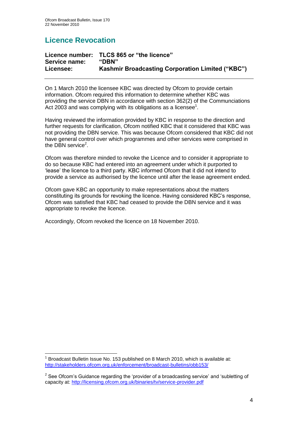# **Licence Revocation**

|               | Licence number: TLCS 865 or "the licence"               |
|---------------|---------------------------------------------------------|
| Service name: | "DBN"                                                   |
| Licensee:     | <b>Kashmir Broadcasting Corporation Limited ("KBC")</b> |

On 1 March 2010 the licensee KBC was directed by Ofcom to provide certain information. Ofcom required this information to determine whether KBC was providing the service DBN in accordance with section 362(2) of the Communciations Act 2003 and was complying with its obligations as a licensee<sup>1</sup>.

Having reviewed the information provided by KBC in response to the direction and further requests for clarification, Ofcom notified KBC that it considered that KBC was not providing the DBN service. This was because Ofcom considered that KBC did not have general control over which programmes and other services were comprised in the DBN service<sup>2</sup>.

Ofcom was therefore minded to revoke the Licence and to consider it appropriate to do so because KBC had entered into an agreement under which it purported to "lease" the licence to a third party. KBC informed Ofcom that it did not intend to provide a service as authorised by the licence until after the lease agreement ended.

Ofcom gave KBC an opportunity to make representations about the matters constituting its grounds for revoking the licence. Having considered KBC"s response, Ofcom was satisfied that KBC had ceased to provide the DBN service and it was appropriate to revoke the licence.

Accordingly, Ofcom revoked the licence on 18 November 2010.

<sup>1</sup> 1 Broadcast Bulletin Issue No. 153 published on 8 March 2010, which is available at: <http://stakeholders.ofcom.org.uk/enforcement/broadcast-bulletins/obb153/>

 $2$  See Ofcom's Guidance regarding the 'provider of a broadcasting service' and 'subletting of capacity at: <http://licensing.ofcom.org.uk/binaries/tv/service-provider.pdf>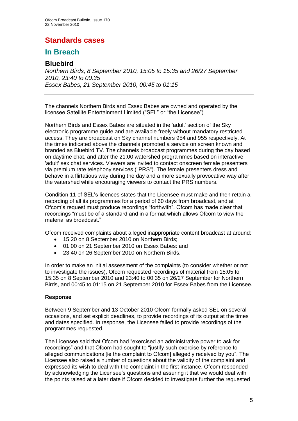# **Standards cases**

## **In Breach**

## **Bluebird**

*Northern Birds, 8 September 2010, 15:05 to 15:35 and 26/27 September 2010, 23:40 to 00.35 Essex Babes, 21 September 2010, 00:45 to 01:15*

The channels Northern Birds and Essex Babes are owned and operated by the licensee Satellite Entertainment Limited ("SEL" or "the Licensee").

Northern Birds and Essex Babes are situated in the 'adult' section of the Sky electronic programme guide and are available freely without mandatory restricted access. They are broadcast on Sky channel numbers 954 and 955 respectively. At the times indicated above the channels promoted a service on screen known and branded as Bluebird TV. The channels broadcast programmes during the day based on daytime chat, and after the 21:00 watershed programmes based on interactive 'adult' sex chat services. Viewers are invited to contact onscreen female presenters via premium rate telephony services ("PRS"). The female presenters dress and behave in a flirtatious way during the day and a more sexually provocative way after the watershed while encouraging viewers to contact the PRS numbers.

Condition 11 of SEL"s licences states that the Licensee must make and then retain a recording of all its programmes for a period of 60 days from broadcast, and at Ofcom"s request must produce recordings "forthwith". Ofcom has made clear that recordings "must be of a standard and in a format which allows Ofcom to view the material as broadcast."

Ofcom received complaints about alleged inappropriate content broadcast at around:

- 15:20 on 8 September 2010 on Northern Birds;
- 01:00 on 21 September 2010 on Essex Babes: and
- 23:40 on 26 September 2010 on Northern Birds.

In order to make an initial assessment of the complaints (to consider whether or not to investigate the issues), Ofcom requested recordings of material from 15:05 to 15:35 on 8 September 2010 and 23:40 to 00:35 on 26/27 September for Northern Birds, and 00:45 to 01:15 on 21 September 2010 for Essex Babes from the Licensee.

#### **Response**

Between 9 September and 13 October 2010 Ofcom formally asked SEL on several occasions, and set explicit deadlines, to provide recordings of its output at the times and dates specified. In response, the Licensee failed to provide recordings of the programmes requested.

The Licensee said that Ofcom had "exercised an administrative power to ask for recordings" and that Ofcom had sought to "justify such exercise by reference to alleged communications [ie the complaint to Ofcom] allegedly received by you". The Licensee also raised a number of questions about the validity of the complaint and expressed its wish to deal with the complaint in the first instance. Ofcom responded by acknowledging the Licensee"s questions and assuring it that we would deal with the points raised at a later date if Ofcom decided to investigate further the requested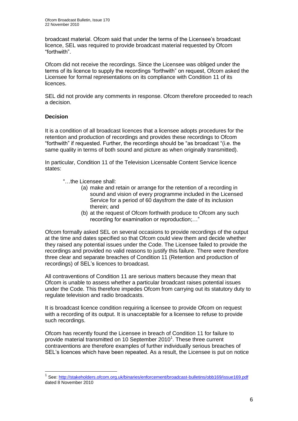broadcast material. Ofcom said that under the terms of the Licensee"s broadcast licence, SEL was required to provide broadcast material requested by Ofcom "forthwith".

Ofcom did not receive the recordings. Since the Licensee was obliged under the terms of its licence to supply the recordings "forthwith" on request, Ofcom asked the Licensee for formal representations on its compliance with Condition 11 of its licences.

SEL did not provide any comments in response. Ofcom therefore proceeded to reach a decision.

#### **Decision**

1

It is a condition of all broadcast licences that a licensee adopts procedures for the retention and production of recordings and provides these recordings to Ofcom "forthwith" if requested. Further, the recordings should be "as broadcast "(i.e. the same quality in terms of both sound and picture as when originally transmitted).

In particular, Condition 11 of the Television Licensable Content Service licence states:

- "…the Licensee shall:
	- (a) make and retain or arrange for the retention of a recording in sound and vision of every programme included in the Licensed Service for a period of 60 daysfrom the date of its inclusion therein; and
	- (b) at the request of Ofcom forthwith produce to Ofcom any such recording for examination or reproduction;…"

Ofcom formally asked SEL on several occasions to provide recordings of the output at the time and dates specified so that Ofcom could view them and decide whether they raised any potential issues under the Code. The Licensee failed to provide the recordings and provided no valid reasons to justify this failure. There were therefore three clear and separate breaches of Condition 11 (Retention and production of recordings) of SEL"s licences to broadcast.

All contraventions of Condition 11 are serious matters because they mean that Ofcom is unable to assess whether a particular broadcast raises potential issues under the Code. This therefore impedes Ofcom from carrying out its statutory duty to regulate television and radio broadcasts.

It is broadcast licence condition requiring a licensee to provide Ofcom on request with a recording of its output. It is unacceptable for a licensee to refuse to provide such recordings.

Ofcom has recently found the Licensee in breach of Condition 11 for failure to provide material transmitted on 10 September 2010<sup>1</sup>. These three current contraventions are therefore examples of further individually serious breaches of SEL"s licences which have been repeated. As a result, the Licensee is put on notice

<sup>&</sup>lt;sup>1</sup> See:<http://stakeholders.ofcom.org.uk/binaries/enforcement/broadcast-bulletins/obb169/issue169.pdf> dated 8 November 2010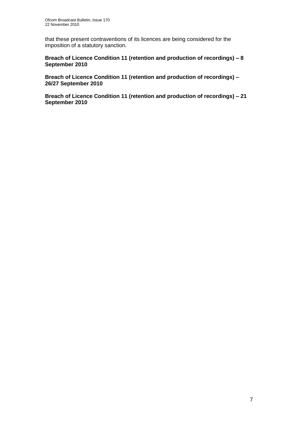that these present contraventions of its licences are being considered for the imposition of a statutory sanction.

#### **Breach of Licence Condition 11 (retention and production of recordings) – 8 September 2010**

**Breach of Licence Condition 11 (retention and production of recordings) – 26/27 September 2010**

**Breach of Licence Condition 11 (retention and production of recordings) – 21 September 2010**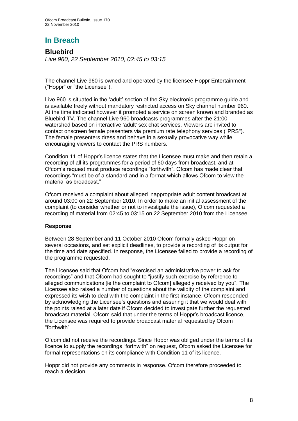# **In Breach**

## **Bluebird**

*Live 960, 22 September 2010, 02:45 to 03:15*

The channel Live 960 is owned and operated by the licensee Hoppr Entertainment ("Hoppr" or "the Licensee").

Live 960 is situated in the "adult" section of the Sky electronic programme guide and is available freely without mandatory restricted access on Sky channel number 960. At the time indicated however it promoted a service on screen known and branded as Bluebird TV. The channel Live 960 broadcasts programmes after the 21:00 watershed based on interactive 'adult' sex chat services. Viewers are invited to contact onscreen female presenters via premium rate telephony services ("PRS"). The female presenters dress and behave in a sexually provocative way while encouraging viewers to contact the PRS numbers.

Condition 11 of Hoppr"s licence states that the Licensee must make and then retain a recording of all its programmes for a period of 60 days from broadcast, and at Ofcom"s request must produce recordings "forthwith". Ofcom has made clear that recordings "must be of a standard and in a format which allows Ofcom to view the material as broadcast."

Ofcom received a complaint about alleged inappropriate adult content broadcast at around 03:00 on 22 September 2010. In order to make an initial assessment of the complaint (to consider whether or not to investigate the issue), Ofcom requested a recording of material from 02:45 to 03:15 on 22 September 2010 from the Licensee.

#### **Response**

Between 28 September and 11 October 2010 Ofcom formally asked Hoppr on several occasions, and set explicit deadlines, to provide a recording of its output for the time and date specified. In response, the Licensee failed to provide a recording of the programme requested.

The Licensee said that Ofcom had "exercised an administrative power to ask for recordings" and that Ofcom had sought to "justify such exercise by reference to alleged communications [ie the complaint to Ofcom] allegedly received by you". The Licensee also raised a number of questions about the validity of the complaint and expressed its wish to deal with the complaint in the first instance. Ofcom responded by acknowledging the Licensee"s questions and assuring it that we would deal with the points raised at a later date if Ofcom decided to investigate further the requested broadcast material. Ofcom said that under the terms of Hoppr"s broadcast licence, the Licensee was required to provide broadcast material requested by Ofcom "forthwith".

Ofcom did not receive the recordings. Since Hoppr was obliged under the terms of its licence to supply the recordings "forthwith" on request, Ofcom asked the Licensee for formal representations on its compliance with Condition 11 of its licence.

Hoppr did not provide any comments in response. Ofcom therefore proceeded to reach a decision.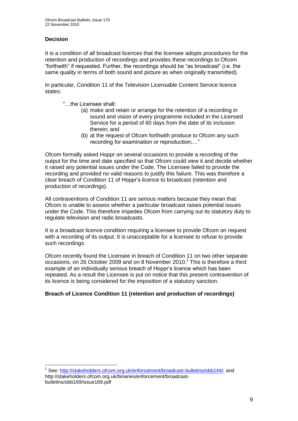#### **Decision**

It is a condition of all broadcast licences that the licensee adopts procedures for the retention and production of recordings and provides these recordings to Ofcom "forthwith" if requested. Further, the recordings should be "as broadcast" (i.e. the same quality in terms of both sound and picture as when originally transmitted).

In particular, Condition 11 of the Television Licensable Content Service licence states:

- "…the Licensee shall:
	- (a) make and retain or arrange for the retention of a recording in sound and vision of every programme included in the Licensed Service for a period of 60 days from the date of its inclusion therein; and
	- (b) at the request of Ofcom forthwith produce to Ofcom any such recording for examination or reproduction;…"

Ofcom formally asked Hoppr on several occasions to provide a recording of the output for the time and date specified so that Ofcom could view it and decide whether it raised any potential issues under the Code. The Licensee failed to provide the recording and provided no valid reasons to justify this failure. This was therefore a clear breach of Condition 11 of Hoppr"s licence to broadcast (retention and production of recordings).

All contraventions of Condition 11 are serious matters because they mean that Ofcom is unable to assess whether a particular broadcast raises potential issues under the Code. This therefore impedes Ofcom from carrying out its statutory duty to regulate television and radio broadcasts.

It is a broadcast licence condition requiring a licensee to provide Ofcom on request with a recording of its output. It is unacceptable for a licensee to refuse to provide such recordings.

Ofcom recently found the Licensee in breach of Condition 11 on two other separate occasions, on 26 October 2009 and on 8 November 2010.<sup>1</sup> This is therefore a third example of an individually serious breach of Hoppr's licence which has been repeated. As a result the Licensee is put on notice that this present contravention of its licence is being considered for the imposition of a statutory sanction.

#### **Breach of Licence Condition 11 (retention and production of recordings)**

1 <sup>1</sup> See: [http://stakeholders.ofcom.org.uk/enforcement/broadcast-bulletins/obb144/;](http://stakeholders.ofcom.org.uk/enforcement/broadcast-bulletins/obb144/) and http://stakeholders.ofcom.org.uk/binaries/enforcement/broadcastbulletins/obb169/issue169.pdf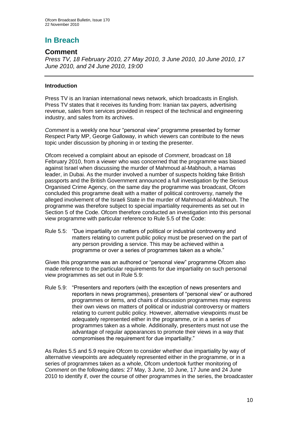## **In Breach**

## **Comment**

*Press TV, 18 February 2010, 27 May 2010, 3 June 2010, 10 June 2010, 17 June 2010, and 24 June 2010, 19:00*

#### **Introduction**

Press TV is an Iranian international news network, which broadcasts in English. Press TV states that it receives its funding from: Iranian tax payers, advertising revenue, sales from services provided in respect of the technical and engineering industry, and sales from its archives.

*Comment* is a weekly one hour "personal view" programme presented by former Respect Party MP, George Galloway, in which viewers can contribute to the news topic under discussion by phoning in or texting the presenter.

Ofcom received a complaint about an episode of *Comment*, broadcast on 18 February 2010, from a viewer who was concerned that the programme was biased against Israel when discussing the murder of Mahmoud al-Mabhouh, a Hamas leader, in Dubai. As the murder involved a number of suspects holding fake British passports and the British Government announced a full investigation by the Serious Organised Crime Agency, on the same day the programme was broadcast, Ofcom concluded this programme dealt with a matter of political controversy, namely the alleged involvement of the Israeli State in the murder of Mahmoud al-Mabhouh. The programme was therefore subject to special impartiality requirements as set out in Section 5 of the Code. Ofcom therefore conducted an investigation into this personal view programme with particular reference to Rule 5.5 of the Code:

Rule 5.5: "Due impartiality on matters of political or industrial controversy and matters relating to current public policy must be preserved on the part of any person providing a service. This may be achieved within a programme or over a series of programmes taken as a whole."

Given this programme was an authored or "personal view" programme Ofcom also made reference to the particular requirements for due impartiality on such personal view programmes as set out in Rule 5.9:

Rule 5.9: "Presenters and reporters (with the exception of news presenters and reporters in news programmes), presenters of "personal view" or authored programmes or items, and chairs of discussion programmes may express their own views on matters of political or industrial controversy or matters relating to current public policy. However, alternative viewpoints must be adequately represented either in the programme, or in a series of programmes taken as a whole. Additionally, presenters must not use the advantage of regular appearances to promote their views in a way that compromises the requirement for due impartiality."

As Rules 5.5 and 5.9 require Ofcom to consider whether due impartiality by way of alternative viewpoints are adequately represented either in the programme, or in a series of programmes taken as a whole, Ofcom undertook further monitoring of *Comment* on the following dates: 27 May, 3 June, 10 June, 17 June and 24 June 2010 to identify if, over the course of other programmes in the series, the broadcaster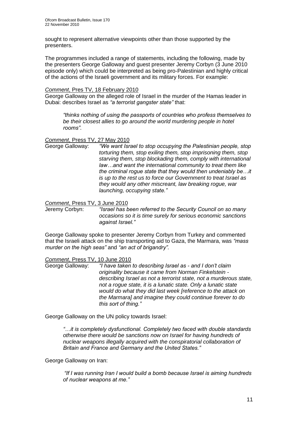sought to represent alternative viewpoints other than those supported by the presenters.

The programmes included a range of statements, including the following, made by the presenters George Galloway and guest presenter Jeremy Corbyn (3 June 2010 episode only) which could be interpreted as being pro-Palestinian and highly critical of the actions of the Israeli government and its military forces. For example:

#### *Comment*, Pres TV, 18 February 2010

George Galloway on the alleged role of Israel in the murder of the Hamas leader in Dubai: describes Israel as *"a terrorist gangster state"* that:

*"thinks nothing of using the passports of countries who profess themselves to be their closest allies to go around the world murdering people in hotel rooms"*.

*Comment*, Press TV, 27 May 2010

George Galloway: *"We want Israel to stop occupying the Palestinian people, stop torturing them, stop exiling them, stop imprisoning them, stop starving them, stop blockading them, comply with international law…and want the international community to treat them like the criminal rogue state that they would then undeniably be…it is up to the rest us to force our Government to treat Israel as they would any other miscreant, law breaking rogue, war launching, occupying state."*

*Comment*, Press TV, 3 June 2010

Jeremy Corbyn: *"Israel has been referred to the Security Council on so many occasions so it is time surely for serious economic sanctions against Israel."*

George Galloway spoke to presenter Jeremy Corbyn from Turkey and commented that the Israeli attack on the ship transporting aid to Gaza, the Marmara, was *"mass murder on the high seas"* and *"an act of brigandry".* 

#### *Comment*, Press TV, 10 June 2010

George Galloway: *"I have taken to describing Israel as - and I don"t claim originality because it came from Norman Finkelstein describing Israel as not a terrorist state, not a murderous state, not a rogue state, it is a lunatic state. Only a lunatic state would do what they did last week [reference to the attack on the Marmara] and imagine they could continue forever to do this sort of thing."*

George Galloway on the UN policy towards Israel:

*"…it is completely dysfunctional. Completely two faced with double standards otherwise there would be sanctions now on Israel for having hundreds of nuclear weapons illegally acquired with the conspiratorial collaboration of Britain and France and Germany and the United States."*

George Galloway on Iran:

*"If I was running Iran I would build a bomb because Israel is aiming hundreds of nuclear weapons at me."*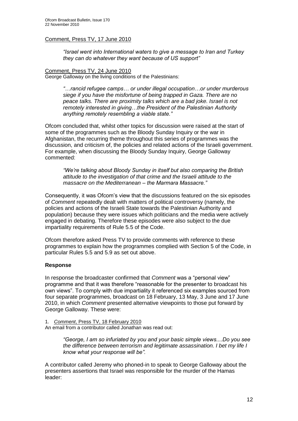#### Comment, Press TV, 17 June 2010

*"Israel went into International waters to give a message to Iran and Turkey they can do whatever they want because of US support"*

#### Comment, Press TV, 24 June 2010

George Galloway on the living conditions of the Palestinians:

*"…rancid refugee camps… or under illegal occupation…or under murderous siege if you have the misfortune of being trapped in Gaza. There are no peace talks. There are proximity talks which are a bad joke. Israel is not remotely interested in giving…the President of the Palestinian Authority anything remotely resembling a viable state."*

Ofcom concluded that, whilst other topics for discussion were raised at the start of some of the programmes such as the Bloody Sunday Inquiry or the war in Afghanistan, the recurring theme throughout this series of programmes was the discussion, and criticism of, the policies and related actions of the Israeli government. For example, when discussing the Bloody Sunday Inquiry, George Galloway commented:

*"We"re talking about Bloody Sunday in itself but also comparing the British attitude to the investigation of that crime and the Israeli attitude to the massacre on the Mediterranean – the Marmara Massacre."*

Consequently, it was Ofcom"s view that the discussions featured on the six episodes of *Comment* repeatedly dealt with matters of political controversy (namely, the policies and actions of the Israeli State towards the Palestinian Authority and population) because they were issues which politicians and the media were actively engaged in debating. Therefore these episodes were also subject to the due impartiality requirements of Rule 5.5 of the Code.

Ofcom therefore asked Press TV to provide comments with reference to these programmes to explain how the programmes complied with Section 5 of the Code, in particular Rules 5.5 and 5.9 as set out above.

#### **Response**

In response the broadcaster confirmed that *Comment* was a "personal view" programme and that it was therefore "reasonable for the presenter to broadcast his own views". To comply with due impartiality it referenced six examples sourced from four separate programmes, broadcast on 18 February, 13 May, 3 June and 17 June 2010, in which *Comment* presented alternative viewpoints to those put forward by George Galloway. These were:

1. *Comment*, Press TV, 18 February 2010

An email from a contributor called Jonathan was read out:

*"George, I am so infuriated by you and your basic simple views....Do you see the difference between terrorism and legitimate assassination. I bet my life I know what your response will be".*

A contributor called Jeremy who phoned-in to speak to George Galloway about the presenters assertions that Israel was responsible for the murder of the Hamas leader: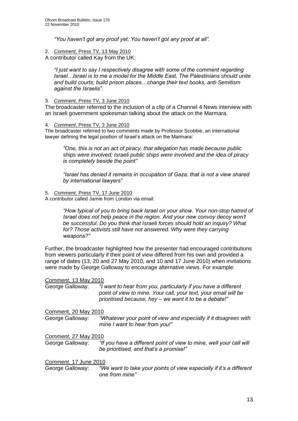*"You haven"t got any proof yet. You haven"t got any proof at all".*

2. *Comment*, Press TV, 13 May 2010

A contributor called Kay from the UK:

*"I just want to say I respectively disagree with some of the comment regarding Israel…Israel is to me a model for the Middle East. The Palestinians should unite and build courts; build prison places…change their text books, anti-Semitism against the Israelis".* 

#### 3. *Comment*, Press TV, 3 June 2010

The broadcaster referred to the inclusion of a clip of a Channel 4 News interview with an Israeli government spokesman talking about the attack on the Marmara.

4. *Comment*, Press TV, 3 June 2010

The broadcaster referred to two comments made by Professor Scobbie, an international lawyer defining the legal position of Israel's attack on the Marmara:

*"One, this is not an act of piracy, that allegation has made because public ships were involved; Israeli public ships were involved and the idea of piracy is completely beside the point"*

*"Israel has denied it remains in occupation of Gaza, that is not a view shared by international lawyers"*

5. *Comment*, Press TV, 17 June 2010

A contributor called Jamie from London via email:

*"How typical of you to bring back Israel on your show. Your non-stop hatred of Israel does not help peace in the region. And your new convoy decoy won"t be successful. Do you think that Israeli forces should hold an inquiry? What*  for? Those activists still have not answered. Why were they carrying *weapons?"*

Further, the broadcaster highlighted how the presenter had encouraged contributions from viewers particularly if their point of view differed from his own and provided a range of dates (13, 20 and 27 May 2010, and 10 and 17 June 2010) when invitations were made by George Galloway to encourage alternative views. For example:

*Comment*, 13 May 2010

George Galloway: *"I want to hear from you, particularly if you have a different point of view to mine. Your call, your text, your email will be prioritised because, hey – we want it to be a debate!"* 

#### Comment, 20 May 2010

George Galloway: *"Whatever your point of view and especially if it disagrees with mine I want to hear from you!"*

*Comment*, 27 May 2010

George Galloway: *"If you have a different point of view to mine, well your call will be prioritised, and that"s a promise!"*

*Comment*, 17 June 2010

George Galloway: *"We want to take your points of view especially if it"s a different one from mine"*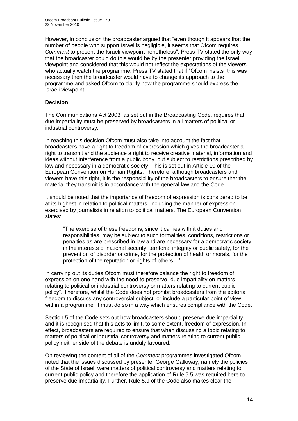However, in conclusion the broadcaster argued that "even though it appears that the number of people who support Israel is negligible, it seems that Ofcom requires *Comment* to present the Israeli viewpoint nonetheless". Press TV stated the only way that the broadcaster could do this would be by the presenter providing the Israeli viewpoint and considered that this would not reflect the expectations of the viewers who actually watch the programme. Press TV stated that if "Ofcom insists" this was necessary then the broadcaster would have to change its approach to the programme and asked Ofcom to clarify how the programme should express the Israeli viewpoint.

#### **Decision**

The Communications Act 2003, as set out in the Broadcasting Code, requires that due impartiality must be preserved by broadcasters in all matters of political or industrial controversy.

In reaching this decision Ofcom must also take into account the fact that broadcasters have a right to freedom of expression which gives the broadcaster a right to transmit and the audience a right to receive creative material, information and ideas without interference from a public body, but subject to restrictions prescribed by law and necessary in a democratic society. This is set out in Article 10 of the European Convention on Human Rights. Therefore, although broadcasters and viewers have this right, it is the responsibility of the broadcasters to ensure that the material they transmit is in accordance with the general law and the Code.

It should be noted that the importance of freedom of expression is considered to be at its highest in relation to political matters, including the manner of expression exercised by journalists in relation to political matters. The European Convention states:

"The exercise of these freedoms, since it carries with it duties and responsibilities, may be subject to such formalities, conditions, restrictions or penalties as are prescribed in law and are necessary for a democratic society, in the interests of national security, territorial integrity or public safety, for the prevention of disorder or crime, for the protection of health or morals, for the protection of the reputation or rights of others…"

In carrying out its duties Ofcom must therefore balance the right to freedom of expression on one hand with the need to preserve "due impartiality on matters relating to political or industrial controversy or matters relating to current public policy". Therefore, whilst the Code does not prohibit broadcasters from the editorial freedom to discuss any controversial subject, or include a particular point of view within a programme, it must do so in a way which ensures compliance with the Code.

Section 5 of the Code sets out how broadcasters should preserve due impartiality and it is recognised that this acts to limit, to some extent, freedom of expression. In effect, broadcasters are required to ensure that when discussing a topic relating to matters of political or industrial controversy and matters relating to current public policy neither side of the debate is unduly favoured.

On reviewing the content of all of the *Comment* programmes investigated Ofcom noted that the issues discussed by presenter George Galloway, namely the policies of the State of Israel, were matters of political controversy and matters relating to current public policy and therefore the application of Rule 5.5 was required here to preserve due impartiality. Further, Rule 5.9 of the Code also makes clear the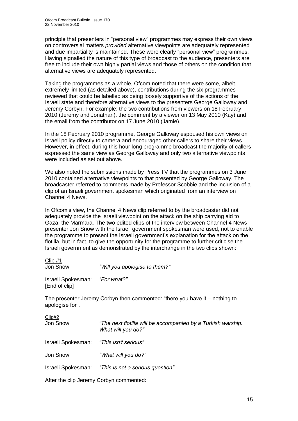principle that presenters in "personal view" programmes may express their own views on controversial matters *provided* alternative viewpoints are adequately represented and due impartiality is maintained. These were clearly "personal view" programmes. Having signalled the nature of this type of broadcast to the audience, presenters are free to include their own highly partial views and those of others on the condition that alternative views are adequately represented.

Taking the programmes as a whole, Ofcom noted that there were some, albeit extremely limited (as detailed above), contributions during the six programmes reviewed that could be labelled as being loosely supportive of the actions of the Israeli state and therefore alternative views to the presenters George Galloway and Jeremy Corbyn. For example: the two contributions from viewers on 18 February 2010 (Jeremy and Jonathan), the comment by a viewer on 13 May 2010 (Kay) and the email from the contributor on 17 June 2010 (Jamie).

In the 18 February 2010 programme, George Galloway espoused his own views on Israeli policy directly to camera and encouraged other callers to share their views. However, in effect, during this hour long programme broadcast the majority of callers expressed the same view as George Galloway and only two alternative viewpoints were included as set out above.

We also noted the submissions made by Press TV that the programmes on 3 June 2010 contained alternative viewpoints to that presented by George Galloway. The broadcaster referred to comments made by Professor Scobbie and the inclusion of a clip of an Israeli government spokesman which originated from an interview on Channel 4 News.

In Ofcom"s view, the Channel 4 News clip referred to by the broadcaster did not adequately provide the Israeli viewpoint on the attack on the ship carrying aid to Gaza, the Marmara. The two edited clips of the interview between Channel 4 News presenter Jon Snow with the Israeli government spokesman were used, not to enable the programme to present the Israeli government"s explanation for the attack on the flotilla, but in fact, to give the opportunity for the programme to further criticise the Israeli government as demonstrated by the interchange in the two clips shown:

Clip #1

Jon Snow: *"Will you apologise to them?"*

Israeli Spokesman: *"For what?"* [End of clip]

The presenter Jeremy Corbyn then commented: "there you have it – nothing to apologise for".

Clip#2

Jon Snow: *"The next flotilla will be accompanied by a Turkish warship. What will you do?"*

Israeli Spokesman: *"This isn"t serious"*

Jon Snow: *"What will you do?"*

Israeli Spokesman: *"This is not a serious question"*

After the clip Jeremy Corbyn commented: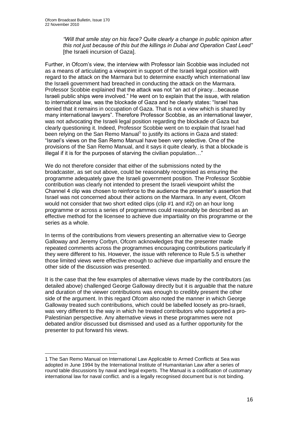1

*"Will that smile stay on his face? Quite clearly a change in public opinion after this not just because of this but the killings in Dubai and Operation Cast Lead"* [the Israeli incursion of Gaza].

Further, in Ofcom"s view, the interview with Professor Iain Scobbie was included not as a means of articulating a viewpoint in support of the Israeli legal position with regard to the attack on the Marmara but to determine exactly which international law the Israeli government had breached in conducting the attack on the Marmara. Professor Scobbie explained that the attack was not "an act of piracy…because Israeli public ships were involved." He went on to explain that the issue, with relation to international law, was the blockade of Gaza and he clearly states: "Israel has denied that it remains in occupation of Gaza. That is not a view which is shared by many international lawyers". Therefore Professor Scobbie, as an international lawyer, was not advocating the Israeli legal position regarding the blockade of Gaza but clearly questioning it. Indeed, Professor Scobbie went on to explain that Israel had been relying on the San Remo Manual<sup>1</sup> to justify its actions in Gaza and stated: "Israel"s views on the San Remo Manual have been very selective. One of the provisions of the San Remo Manual, and it says it quite clearly, is that a blockade is illegal if it is for the purposes of starving the civilian population…"

We do not therefore consider that either of the submissions noted by the broadcaster, as set out above, could be reasonably recognised as ensuring the programme adequately gave the Israeli government position. The Professor Scobbie contribution was clearly not intended to present the Israeli viewpoint whilst the Channel 4 clip was chosen to reinforce to the audience the presenter"s assertion that Israel was not concerned about their actions on the Marmara. In any event, Ofcom would not consider that two short edited clips (clip #1 and #2) on an hour long programme or across a series of programmes could reasonably be described as an effective method for the licensee to achieve due impartiality on this programme or the series as a whole.

In terms of the contributions from viewers presenting an alternative view to George Galloway and Jeremy Corbyn, Ofcom acknowledges that the presenter made repeated comments across the programmes encouraging contributions particularly if they were different to his. However, the issue with reference to Rule 5.5 is whether those limited views were effective enough to achieve due impartiality and ensure the other side of the discussion was presented.

It is the case that the few examples of alternative views made by the contributors (as detailed above) challenged George Galloway directly but it is arguable that the nature and duration of the viewer contributions was enough to credibly present the other side of the argument. In this regard Ofcom also noted the manner in which George Galloway treated such contributions, which could be labelled loosely as pro-Israeli, was very different to the way in which he treated contributors who supported a pro-Palestinian perspective. Any alternative views in these programmes were not debated and/or discussed but dismissed and used as a further opportunity for the presenter to put forward his views.

<sup>1</sup> The San Remo Manual on International Law Applicable to Armed Conflicts at Sea was adopted in June 1994 by the [International Institute of Humanitarian Law](http://en.wikipedia.org/wiki/International_Institute_of_Humanitarian_Law) after a series of round table discussions by naval and legal experts. The Manual is a codification of customary international law for naval conflict. and is a legally recognised document but is not binding.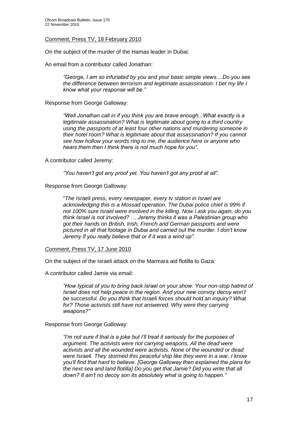#### *Comment*, Press TV, 18 February 2010

On the subject of the murder of the Hamas leader in Dubai:

An email from a contributor called Jonathan:

*"George, I am so infuriated by you and your basic simple views....Do you see the difference between terrorism and legitimate assassination. I bet my life I know what your response will be."*

Response from George Galloway:

*"Well Jonathan call in if you think you are brave enough...What exactly is a legitimate assassination? What is legitimate about going to a third country using the passports of at least four other nations and murdering someone in their hotel room? What is legitimate about that assassination? If you cannot see how hollow your words ring to me, the audience here or anyone who hears them then I think there is not much hope for you".*

A contributor called Jeremy:

*"You haven"t got any proof yet. You haven"t got any proof at all".*

Response from George Galloway:

"*The Israeli press, every newspaper, every tv station in Israel are acknowledging this is a Mossad operation. The Dubai police chief is 99% if not 100% sure Israel were involved in the killing. Now I ask you again, do you think Israel is not involved? … Jeremy thinks it was a Palestinian group who got their hands on British, Irish, French and German passports and were pictured in all that footage in Dubai and carried out the murder. I don"t know Jeremy if you really believe that or if it was a wind up".*

*Comment*, Press TV, 17 June 2010

On the subject of the Israeli attack on the Marmara aid flotilla to Gaza:

A contributor called Jamie via email:

*"How typical of you to bring back Israel on your show. Your non-stop hatred of Israel does not help peace in the region. And your new convoy decoy won"t be successful. Do you think that Israeli forces should hold an inquiry? What*  for? Those activists still have not answered. Why were they carrying *weapons?"*

Response from George Galloway:

*"I"m not sure if that is a joke but I"ll treat it seriously for the purposes of argument. The activists were not carrying weapons. All the dead were activists and all the wounded were activists. None of the wounded or dead were Israeli. They stormed this peaceful ship like they were in a war. I know you"ll find that hard to believe. [George Galloway then explained the plans for the next sea and land flotilla] Do you get that Jamie? Did you write that all down? It ain"t no decoy son its absolutely what is going to happen."*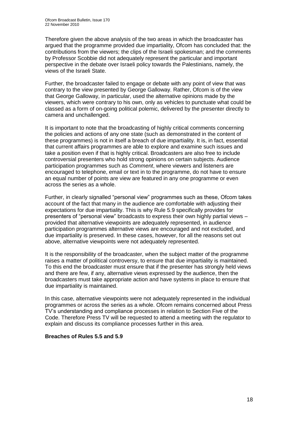Therefore given the above analysis of the two areas in which the broadcaster has argued that the programme provided due impartiality, Ofcom has concluded that: the contributions from the viewers; the clips of the Israeli spokesman; and the comments by Professor Scobbie did not adequately represent the particular and important perspective in the debate over Israeli policy towards the Palestinians, namely, the views of the Israeli State.

Further, the broadcaster failed to engage or debate with any point of view that was contrary to the view presented by George Galloway. Rather, Ofcom is of the view that George Galloway, in particular, used the alternative opinions made by the viewers, which were contrary to his own, only as vehicles to punctuate what could be classed as a form of on-going political polemic, delivered by the presenter directly to camera and unchallenged.

It is important to note that the broadcasting of highly critical comments concerning the policies and actions of any one state (such as demonstrated in the content of these programmes) is not in itself a breach of due impartiality. It is, in fact, essential that current affairs programmes are able to explore and examine such issues and take a position even if that is highly critical. Broadcasters are also free to include controversial presenters who hold strong opinions on certain subjects. Audience participation programmes such as *Comment*, where viewers and listeners are encouraged to telephone, email or text in to the programme, do not have to ensure an equal number of points are view are featured in any one programme or even across the series as a whole.

Further, in clearly signalled "personal view" programmes such as these, Ofcom takes account of the fact that many in the audience are comfortable with adjusting their expectations for due impartiality. This is why Rule 5.9 specifically provides for presenters of "personal view" broadcasts to express their own highly partial views – provided that alternative viewpoints are adequately represented, in audience participation programmes alternative views are encouraged and not excluded, and due impartiality is preserved. In these cases, however, for all the reasons set out above, alternative viewpoints were not adequately represented.

It is the responsibility of the broadcaster, when the subject matter of the programme raises a matter of political controversy, to ensure that due impartiality is maintained. To this end the broadcaster must ensure that if the presenter has strongly held views and there are few, if any, alternative views expressed by the audience, then the broadcasters must take appropriate action and have systems in place to ensure that due impartiality is maintained.

In this case, alternative viewpoints were not adequately represented in the individual programmes or across the series as a whole. Ofcom remains concerned about Press TV"s understanding and compliance processes in relation to Section Five of the Code. Therefore Press TV will be requested to attend a meeting with the regulator to explain and discuss its compliance processes further in this area.

#### **Breaches of Rules 5.5 and 5.9**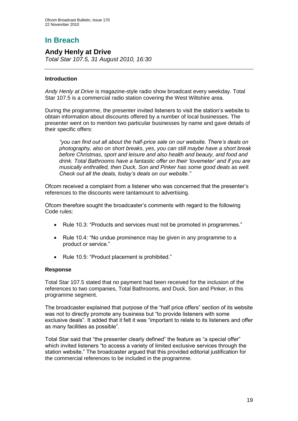# **In Breach**

## **Andy Henly at Drive**

*Total Star 107.5, 31 August 2010, 16:30* 

#### **Introduction**

*Andy Henly at Drive* is magazine-style radio show broadcast every weekday. Total Star 107.5 is a commercial radio station covering the West Wiltshire area.

During the programme, the presenter invited listeners to visit the station"s website to obtain information about discounts offered by a number of local businesses. The presenter went on to mention two particular businesses by name and gave details of their specific offers:

*"you can find out all about the half-price sale on our website. There"s deals on photography, also on short breaks, yes, you can still maybe have a short break before Christmas, sport and leisure and also health and beauty, and food and drink. Total Bathrooms have a fantastic offer on their "lovemeter" and if you are musically enthralled, then Duck, Son and Pinker has some good deals as well. Check out all the deals, today"s deals on our website."*

Ofcom received a complaint from a listener who was concerned that the presenter"s references to the discounts were tantamount to advertising.

Ofcom therefore sought the broadcaster"s comments with regard to the following Code rules:

- Rule 10.3: "Products and services must not be promoted in programmes."
- Rule 10.4: "No undue prominence may be given in any programme to a product or service."
- Rule 10.5: "Product placement is prohibited."

#### **Response**

Total Star 107.5 stated that no payment had been received for the inclusion of the references to two companies, Total Bathrooms, and Duck, Son and Pinker, in this programme segment.

The broadcaster explained that purpose of the "half price offers" section of its website was not to directly promote any business but "to provide listeners with some exclusive deals". It added that it felt it was "important to relate to its listeners and offer as many facilities as possible".

Total Star said that "the presenter clearly defined" the feature as "a special offer" which invited listeners "to access a variety of limited exclusive services through the station website." The broadcaster argued that this provided editorial justification for the commercial references to be included in the programme.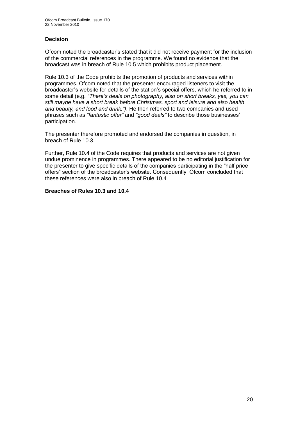#### **Decision**

Ofcom noted the broadcaster"s stated that it did not receive payment for the inclusion of the commercial references in the programme. We found no evidence that the broadcast was in breach of Rule 10.5 which prohibits product placement.

Rule 10.3 of the Code prohibits the promotion of products and services within programmes. Ofcom noted that the presenter encouraged listeners to visit the broadcaster"s website for details of the station"s special offers, which he referred to in some detail (e.g. *"There"s deals on photography, also on short breaks, yes, you can still maybe have a short break before Christmas, sport and leisure and also health and beauty, and food and drink.")*. He then referred to two companies and used phrases such as *"fantastic offer"* and *"good deals"* to describe those businesses" participation.

The presenter therefore promoted and endorsed the companies in question, in breach of Rule 10.3.

Further, Rule 10.4 of the Code requires that products and services are not given undue prominence in programmes. There appeared to be no editorial justification for the presenter to give specific details of the companies participating in the "half price offers" section of the broadcaster"s website. Consequently, Ofcom concluded that these references were also in breach of Rule 10.4

#### **Breaches of Rules 10.3 and 10.4**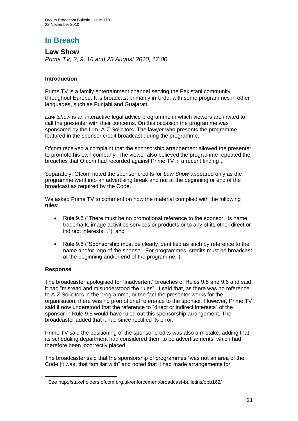# **In Breach**

**Law Show** *Prime TV, 2, 9, 16 and 23 August 2010, 17:00*

#### **Introduction**

Prime TV is a family entertainment channel serving the Pakistani community throughout Europe. It is broadcast primarily in Urdu, with some programmes in other languages, such as Punjabi and Guajarati.

*Law Show* is an interactive legal advice programme in which viewers are invited to call the presenter with their concerns. On this occasion the programme was sponsored by the firm, A-Z Solicitors. The lawyer who presents the programme featured in the sponsor credit broadcast during the programme.

Ofcom received a complaint that the sponsorship arrangement allowed the presenter to promote his own company. The viewer also believed the programme repeated the breaches that Ofcom had recorded against Prime TV in a recent finding<sup>1</sup>.

Separately, Ofcom noted the sponsor credits for *Law Show* appeared only as the programme went into an advertising break and not at the beginning or end of the broadcast as required by the Code.

We asked Prime TV to comment on how the material complied with the following rules:

- Rule 9.5 ("There must be no promotional reference to the sponsor, its name, trademark, image activities services or products or to any of its other direct or indirect interests…"); and
- Rule 9.6 ("Sponsorship must be clearly identified as such by reference to the name and/or logo of the sponsor. For programmes, credits must be broadcast at the beginning and/or end of the programme.")

#### **Response**

The broadcaster apologised for "inadvertent" breaches of Rules 9.5 and 9.6 and said it had "misread and misunderstood the rules". It said that, as there was no reference to A-Z Solicitors in the programme, or the fact the presenter works for the organisation, there was no promotional reference to the sponsor. However, Prime TV said it now understood that the reference to "direct or indirect interests" of the sponsor in Rule 9.5 would have ruled out this sponsorship arrangement. The broadcaster added that it had since rectified its error.

Prime TV said the positioning of the sponsor credits was also a mistake, adding that its scheduling department had considered them to be advertisements, which had therefore been incorrectly placed.

The broadcaster said that the sponsorship of programmes "was not an area of the Code [it was] that familiar with" and noted that it had made arrangements for

<sup>1</sup> <sup>1</sup> See http://stakeholders.ofcom.org.uk/enforcement/broadcast-bulletins/obb162/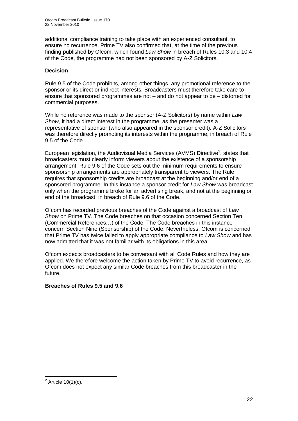additional compliance training to take place with an experienced consultant, to ensure no recurrence. Prime TV also confirmed that, at the time of the previous finding published by Ofcom, which found *Law Show* in breach of Rules 10.3 and 10.4 of the Code, the programme had not been sponsored by A-Z Solicitors.

#### **Decision**

Rule 9.5 of the Code prohibits, among other things, any promotional reference to the sponsor or its direct or indirect interests. Broadcasters must therefore take care to ensure that sponsored programmes are not – and do not appear to be – distorted for commercial purposes.

While no reference was made to the sponsor (A-Z Solicitors) by name within *Law Show*, it had a direct interest in the programme, as the presenter was a representative of sponsor (who also appeared in the sponsor credit). A-Z Solicitors was therefore directly promoting its interests within the programme, in breach of Rule 9.5 of the Code.

European legislation, the Audiovisual Media Services (AVMS) Directive<sup>2</sup>, states that broadcasters must clearly inform viewers about the existence of a sponsorship arrangement. Rule 9.6 of the Code sets out the minimum requirements to ensure sponsorship arrangements are appropriately transparent to viewers. The Rule requires that sponsorship credits are broadcast at the beginning and/or end of a sponsored programme. In this instance a sponsor credit for *Law Show* was broadcast only when the programme broke for an advertising break, and not at the beginning or end of the broadcast, in breach of Rule 9.6 of the Code.

Ofcom has recorded previous breaches of the Code against a broadcast of *Law Show* on Prime TV. The Code breaches on that occasion concerned Section Ten (Commercial References…) of the Code. The Code breaches in this instance concern Section Nine (Sponsorship) of the Code. Nevertheless, Ofcom is concerned that Prime TV has twice failed to apply appropriate compliance to *Law Show* and has now admitted that it was not familiar with its obligations in this area.

Ofcom expects broadcasters to be conversant with all Code Rules and how they are applied. We therefore welcome the action taken by Prime TV to avoid recurrence, as Ofcom does not expect any similar Code breaches from this broadcaster in the future.

#### **Breaches of Rules 9.5 and 9.6**

 $\frac{1}{2}$  Article 10(1)(c).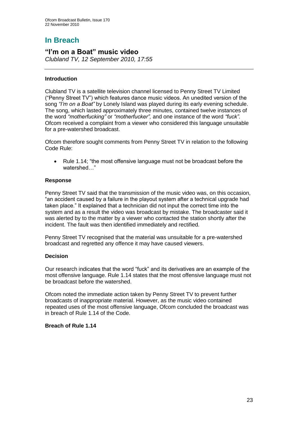# **In Breach**

# **"I'm on a Boat" music video**

*Clubland TV, 12 September 2010, 17:55* 

#### **Introduction**

Clubland TV is a satellite television channel licensed to Penny Street TV Limited ("Penny Street TV") which features dance music videos. An unedited version of the song *"I"m on a Boat"* by Lonely Island was played during its early evening schedule. The song, which lasted approximately three minutes, contained twelve instances of the word *"motherfucking"* or *"motherfucker",* and one instance of the word *"fuck"*. Ofcom received a complaint from a viewer who considered this language unsuitable for a pre-watershed broadcast.

Ofcom therefore sought comments from Penny Street TV in relation to the following Code Rule:

• Rule 1.14; "the most offensive language must not be broadcast before the watershed…"

#### **Response**

Penny Street TV said that the transmission of the music video was, on this occasion, "an accident caused by a failure in the playout system after a technical upgrade had taken place." It explained that a technician did not input the correct time into the system and as a result the video was broadcast by mistake. The broadcaster said it was alerted by to the matter by a viewer who contacted the station shortly after the incident. The fault was then identified immediately and rectified.

Penny Street TV recognised that the material was unsuitable for a pre-watershed broadcast and regretted any offence it may have caused viewers.

#### **Decision**

Our research indicates that the word "fuck" and its derivatives are an example of the most offensive language. Rule 1.14 states that the most offensive language must not be broadcast before the watershed.

Ofcom noted the immediate action taken by Penny Street TV to prevent further broadcasts of inappropriate material. However, as the music video contained repeated uses of the most offensive language, Ofcom concluded the broadcast was in breach of Rule 1.14 of the Code.

#### **Breach of Rule 1.14**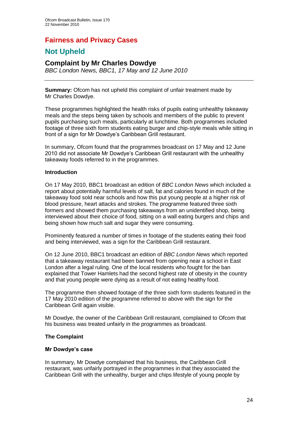## **Fairness and Privacy Cases**

## **Not Upheld**

## **Complaint by Mr Charles Dowdye**

*BBC London News, BBC1, 17 May and 12 June 2010*

**Summary:** Ofcom has not upheld this complaint of unfair treatment made by Mr Charles Dowdye.

These programmes highlighted the health risks of pupils eating unhealthy takeaway meals and the steps being taken by schools and members of the public to prevent pupils purchasing such meals, particularly at lunchtime. Both programmes included footage of three sixth form students eating burger and chip-style meals while sitting in front of a sign for Mr Dowdye"s Caribbean Grill restaurant.

In summary, Ofcom found that the programmes broadcast on 17 May and 12 June 2010 did not associate Mr Dowdye"s Caribbean Grill restaurant with the unhealthy takeaway foods referred to in the programmes.

#### **Introduction**

On 17 May 2010, BBC1 broadcast an edition of *BBC London News* which included a report about potentially harmful levels of salt, fat and calories found in much of the takeaway food sold near schools and how this put young people at a higher risk of blood pressure, heart attacks and strokes. The programme featured three sixth formers and showed them purchasing takeaways from an unidentified shop, being interviewed about their choice of food, sitting on a wall eating burgers and chips and being shown how much salt and sugar they were consuming.

Prominently featured a number of times in footage of the students eating their food and being interviewed, was a sign for the Caribbean Grill restaurant.

On 12 June 2010, BBC1 broadcast an edition of *BBC London News* which reported that a takeaway restaurant had been banned from opening near a school in East London after a legal ruling. One of the local residents who fought for the ban explained that Tower Hamlets had the second highest rate of obesity in the country and that young people were dying as a result of not eating healthy food.

The programme then showed footage of the three sixth form students featured in the 17 May 2010 edition of the programme referred to above with the sign for the Caribbean Grill again visible.

Mr Dowdye, the owner of the Caribbean Grill restaurant, complained to Ofcom that his business was treated unfairly in the programmes as broadcast.

#### **The Complaint**

#### **Mr Dowdye's case**

In summary, Mr Dowdye complained that his business, the Caribbean Grill restaurant, was unfairly portrayed in the programmes in that they associated the Caribbean Grill with the unhealthy, burger and chips lifestyle of young people by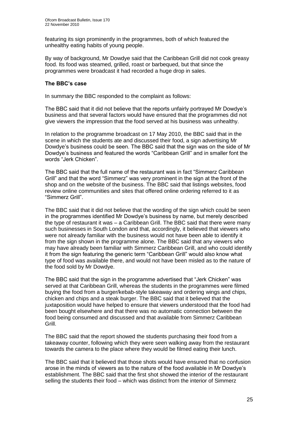featuring its sign prominently in the programmes, both of which featured the unhealthy eating habits of young people.

By way of background, Mr Dowdye said that the Caribbean Grill did not cook greasy food. Its food was steamed, grilled, roast or barbequed, but that since the programmes were broadcast it had recorded a huge drop in sales.

#### **The BBC's case**

In summary the BBC responded to the complaint as follows:

The BBC said that it did not believe that the reports unfairly portrayed Mr Dowdye"s business and that several factors would have ensured that the programmes did not give viewers the impression that the food served at his business was unhealthy.

In relation to the programme broadcast on 17 May 2010, the BBC said that in the scene in which the students ate and discussed their food, a sign advertising Mr Dowdye"s business could be seen. The BBC said that the sign was on the side of Mr Dowdye"s business and featured the words "Caribbean Grill" and in smaller font the words "Jerk Chicken".

The BBC said that the full name of the restaurant was in fact "Simmerz Caribbean Grill" and that the word "Simmerz" was very prominent in the sign at the front of the shop and on the website of the business. The BBC said that listings websites, food review online communities and sites that offered online ordering referred to it as "Simmerz Grill".

The BBC said that it did not believe that the wording of the sign which could be seen in the programmes identified Mr Dowdye"s business by name, but merely described the type of restaurant it was – a Caribbean Grill. The BBC said that there were many such businesses in South London and that, accordingly, it believed that viewers who were not already familiar with the business would not have been able to identify it from the sign shown in the programme alone. The BBC said that any viewers who may have already been familiar with Simmerz Caribbean Grill, and who could identify it from the sign featuring the generic term "Caribbean Grill" would also know what type of food was available there, and would not have been misled as to the nature of the food sold by Mr Dowdye.

The BBC said that the sign in the programme advertised that "Jerk Chicken" was served at that Caribbean Grill, whereas the students in the programmes were filmed buying the food from a burger/kebab-style takeaway and ordering wings and chips, chicken and chips and a steak burger. The BBC said that it believed that the juxtaposition would have helped to ensure that viewers understood that the food had been bought elsewhere and that there was no automatic connection between the food being consumed and discussed and that available from Simmerz Caribbean Grill.

The BBC said that the report showed the students purchasing their food from a takeaway counter, following which they were seen walking away from the restaurant towards the camera to the place where they would be filmed eating their lunch.

The BBC said that it believed that those shots would have ensured that no confusion arose in the minds of viewers as to the nature of the food available in Mr Dowdye"s establishment. The BBC said that the first shot showed the interior of the restaurant selling the students their food – which was distinct from the interior of Simmerz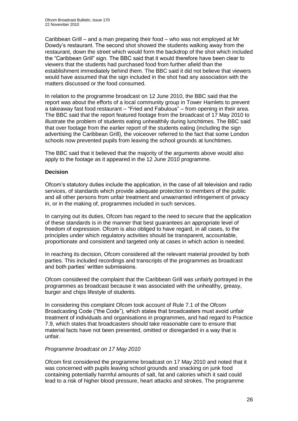Caribbean Grill – and a man preparing their food – who was not employed at Mr Dowdy"s restaurant. The second shot showed the students walking away from the restaurant, down the street which would form the backdrop of the shot which included the "Caribbean Grill" sign. The BBC said that it would therefore have been clear to viewers that the students had purchased food from further afield than the establishment immediately behind them. The BBC said it did not believe that viewers would have assumed that the sign included in the shot had any association with the matters discussed or the food consumed.

In relation to the programme broadcast on 12 June 2010, the BBC said that the report was about the efforts of a local community group in Tower Hamlets to prevent a takeaway fast food restaurant – "Fried and Fabulous" – from opening in their area. The BBC said that the report featured footage from the broadcast of 17 May 2010 to illustrate the problem of students eating unhealthily during lunchtimes. The BBC said that over footage from the earlier report of the students eating (including the sign advertising the Caribbean Grill), the voiceover referred to the fact that some London schools now prevented pupils from leaving the school grounds at lunchtimes.

The BBC said that it believed that the majority of the arguments above would also apply to the footage as it appeared in the 12 June 2010 programme.

#### **Decision**

Ofcom"s statutory duties include the application, in the case of all television and radio services, of standards which provide adequate protection to members of the public and all other persons from unfair treatment and unwarranted infringement of privacy in, or in the making of, programmes included in such services.

In carrying out its duties, Ofcom has regard to the need to secure that the application of these standards is in the manner that best guarantees an appropriate level of freedom of expression. Ofcom is also obliged to have regard, in all cases, to the principles under which regulatory activities should be transparent, accountable, proportionate and consistent and targeted only at cases in which action is needed.

In reaching its decision, Ofcom considered all the relevant material provided by both parties. This included recordings and transcripts of the programmes as broadcast and both parties' written submissions.

Ofcom considered the complaint that the Caribbean Grill was unfairly portrayed in the programmes as broadcast because it was associated with the unhealthy, greasy, burger and chips lifestyle of students.

In considering this complaint Ofcom took account of Rule 7.1 of the Ofcom Broadcasting Code ("the Code"), which states that broadcasters must avoid unfair treatment of individuals and organisations in programmes, and had regard to Practice 7.9, which states that broadcasters should take reasonable care to ensure that material facts have not been presented, omitted or disregarded in a way that is unfair.

#### *Programme broadcast on 17 May 2010*

Ofcom first considered the programme broadcast on 17 May 2010 and noted that it was concerned with pupils leaving school grounds and snacking on junk food containing potentially harmful amounts of salt, fat and calories which it said could lead to a risk of higher blood pressure, heart attacks and strokes. The programme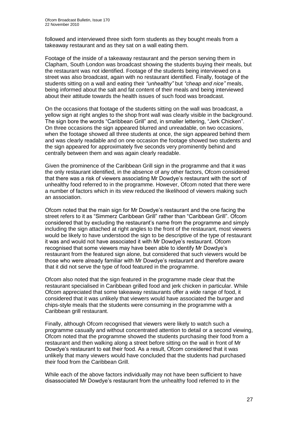followed and interviewed three sixth form students as they bought meals from a takeaway restaurant and as they sat on a wall eating them.

Footage of the inside of a takeaway restaurant and the person serving them in Clapham, South London was broadcast showing the students buying their meals, but the restaurant was not identified. Footage of the students being interviewed on a street was also broadcast, again with no restaurant identified. Finally, footage of the students sitting on a wall and eating their *"unhealthy"* but *"cheap and nice"* meals, being informed about the salt and fat content of their meals and being interviewed about their attitude towards the health issues of such food was broadcast.

On the occasions that footage of the students sitting on the wall was broadcast, a yellow sign at right angles to the shop front wall was clearly visible in the background. The sign bore the words "Caribbean Grill" and, in smaller lettering, "Jerk Chicken". On three occasions the sign appeared blurred and unreadable, on two occasions, when the footage showed all three students at once, the sign appeared behind them and was clearly readable and on one occasion the footage showed two students and the sign appeared for approximately five seconds very prominently behind and centrally between them and was again clearly readable.

Given the prominence of the Caribbean Grill sign in the programme and that it was the only restaurant identified, in the absence of any other factors, Ofcom considered that there was a risk of viewers associating Mr Dowdye"s restaurant with the sort of unhealthy food referred to in the programme. However, Ofcom noted that there were a number of factors which in its view reduced the likelihood of viewers making such an association.

Ofcom noted that the main sign for Mr Dowdye"s restaurant and the one facing the street refers to it as "Simmerz Caribbean Grill" rather than "Caribbean Grill". Ofcom considered that by excluding the restaurant's name from the programme and simply including the sign attached at right angles to the front of the restaurant, most viewers would be likely to have understood the sign to be descriptive of the type of restaurant it was and would not have associated it with Mr Dowdye"s restaurant. Ofcom recognised that some viewers may have been able to identify Mr Dowdye"s restaurant from the featured sign alone, but considered that such viewers would be those who were already familiar with Mr Dowdye"s restaurant and therefore aware that it did not serve the type of food featured in the programme.

Ofcom also noted that the sign featured in the programme made clear that the restaurant specialised in Caribbean grilled food and jerk chicken in particular. While Ofcom appreciated that some takeaway restaurants offer a wide range of food, it considered that it was unlikely that viewers would have associated the burger and chips-style meals that the students were consuming in the programme with a Caribbean grill restaurant.

Finally, although Ofcom recognised that viewers were likely to watch such a programme casually and without concentrated attention to detail or a second viewing, Ofcom noted that the programme showed the students purchasing their food from a restaurant and then walking along a street before sitting on the wall in front of Mr Dowdye"s restaurant to eat their food. As a result, Ofcom considered that it was unlikely that many viewers would have concluded that the students had purchased their food from the Caribbean Grill.

While each of the above factors individually may not have been sufficient to have disassociated Mr Dowdye"s restaurant from the unhealthy food referred to in the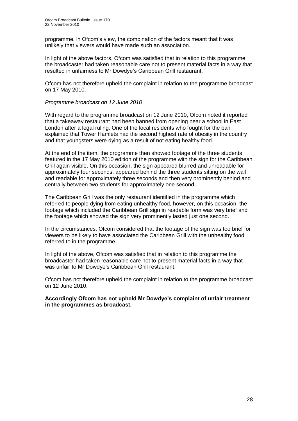programme, in Ofcom"s view, the combination of the factors meant that it was unlikely that viewers would have made such an association.

In light of the above factors, Ofcom was satisfied that in relation to this programme the broadcaster had taken reasonable care not to present material facts in a way that resulted in unfairness to Mr Dowdye"s Caribbean Grill restaurant.

Ofcom has not therefore upheld the complaint in relation to the programme broadcast on 17 May 2010.

#### *Programme broadcast on 12 June 2010*

With regard to the programme broadcast on 12 June 2010, Ofcom noted it reported that a takeaway restaurant had been banned from opening near a school in East London after a legal ruling. One of the local residents who fought for the ban explained that Tower Hamlets had the second highest rate of obesity in the country and that youngsters were dying as a result of not eating healthy food.

At the end of the item, the programme then showed footage of the three students featured in the 17 May 2010 edition of the programme with the sign for the Caribbean Grill again visible. On this occasion, the sign appeared blurred and unreadable for approximately four seconds, appeared behind the three students sitting on the wall and readable for approximately three seconds and then very prominently behind and centrally between two students for approximately one second.

The Caribbean Grill was the only restaurant identified in the programme which referred to people dying from eating unhealthy food, however, on this occasion, the footage which included the Caribbean Grill sign in readable form was very brief and the footage which showed the sign very prominently lasted just one second.

In the circumstances, Ofcom considered that the footage of the sign was too brief for viewers to be likely to have associated the Caribbean Grill with the unhealthy food referred to in the programme.

In light of the above, Ofcom was satisfied that in relation to this programme the broadcaster had taken reasonable care not to present material facts in a way that was unfair to Mr Dowdye"s Caribbean Grill restaurant.

Ofcom has not therefore upheld the complaint in relation to the programme broadcast on 12 June 2010.

**Accordingly Ofcom has not upheld Mr Dowdye's complaint of unfair treatment in the programmes as broadcast.**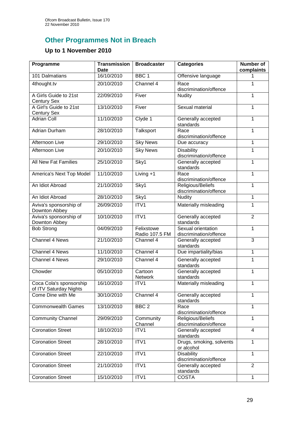# **Other Programmes Not in Breach**

## **Up to 1 November 2010**

| Programme                                         | <b>Transmission</b><br>Date | <b>Broadcaster</b>           | <b>Categories</b>                            | <b>Number of</b><br>complaints |
|---------------------------------------------------|-----------------------------|------------------------------|----------------------------------------------|--------------------------------|
| 101 Dalmatians                                    | 16/10/2010                  | BBC <sub>1</sub>             | Offensive language                           | 1                              |
| 4thought.tv                                       | 20/10/2010                  | Channel 4                    | Race<br>discrimination/offence               | 1                              |
| A Girls Guide to 21st<br><b>Century Sex</b>       | 22/09/2010                  | Fiver                        | <b>Nudity</b>                                | 1                              |
| A Girl's Guide to 21st<br><b>Century Sex</b>      | 13/10/2010                  | Fiver                        | Sexual material                              | 1                              |
| <b>Adrian Coll</b>                                | 11/10/2010                  | Clyde 1                      | Generally accepted<br>standards              | 1                              |
| Adrian Durham                                     | 28/10/2010                  | Talksport                    | Race<br>discrimination/offence               | 1                              |
| <b>Afternoon Live</b>                             | 29/10/2010                  | <b>Sky News</b>              | Due accuracy                                 | 1                              |
| Afternoon Live                                    | 20/10/2010                  | <b>Sky News</b>              | <b>Disability</b><br>discrimination/offence  | 1                              |
| <b>All New Fat Families</b>                       | 25/10/2010                  | Sky1                         | Generally accepted<br>standards              | $\mathbf 1$                    |
| America's Next Top Model                          | 11/10/2010                  | Living $+1$                  | Race<br>discrimination/offence               | 1                              |
| An Idiot Abroad                                   | 21/10/2010                  | Sky1                         | Religious/Beliefs<br>discrimination/offence  | 1                              |
| An Idiot Abroad                                   | 28/10/2010                  | Sky1                         | <b>Nudity</b>                                | 1                              |
| Aviva's sponsorship of<br>Downton Abbey           | 26/09/2010                  | ITV1                         | Materially misleading                        | 1                              |
| Aviva's sponsorship of<br>Downton Abbey           | 10/10/2010                  | ITV1                         | Generally accepted<br>standards              | $\overline{2}$                 |
| <b>Bob Strong</b>                                 | 04/09/2010                  | Felixstowe<br>Radio 107.5 FM | Sexual orientation<br>discrimination/offence | 1                              |
| Channel 4 News                                    | 21/10/2010                  | Channel 4                    | Generally accepted<br>standards              | 3                              |
| Channel 4 News                                    | 11/10/2010                  | Channel 4                    | Due impartiality/bias                        | $\mathbf{1}$                   |
| Channel 4 News                                    | 29/10/2010                  | Channel 4                    | Generally accepted<br>standards              | 1                              |
| Chowder                                           | 05/10/2010                  | Cartoon<br>Network           | Generally accepted<br>standards              | 1                              |
| Coca Cola's sponsorship<br>of ITV Saturday Nights | 16/10/2010                  | ITV <sub>1</sub>             | Materially misleading                        | 1                              |
| Come Dine with Me                                 | 30/10/2010                  | Channel 4                    | Generally accepted<br>standards              | 1                              |
| <b>Commonwealth Games</b>                         | 13/10/2010                  | BBC <sub>2</sub>             | Race<br>discrimination/offence               | 1                              |
| <b>Community Channel</b>                          | 29/09/2010                  | Community<br>Channel         | Religious/Beliefs<br>discrimination/offence  | 1                              |
| <b>Coronation Street</b>                          | 18/10/2010                  | ITV1                         | Generally accepted<br>standards              | $\overline{4}$                 |
| <b>Coronation Street</b>                          | 28/10/2010                  | ITV1                         | Drugs, smoking, solvents<br>or alcohol       | 1                              |
| <b>Coronation Street</b>                          | 22/10/2010                  | ITV1                         | <b>Disability</b><br>discrimination/offence  | 1                              |
| <b>Coronation Street</b>                          | 21/10/2010                  | ITV1                         | Generally accepted<br>standards              | $\overline{2}$                 |
| <b>Coronation Street</b>                          | 15/10/2010                  | ITV1                         | <b>COSTA</b>                                 | 1                              |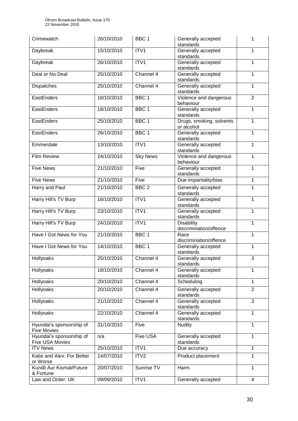| Crimewatch                                     | 26/10/2010 | BBC <sub>1</sub> | Generally accepted<br>standards             | 1              |
|------------------------------------------------|------------|------------------|---------------------------------------------|----------------|
| Daybreak                                       | 15/10/2010 | ITV1             | Generally accepted<br>standards             | 1              |
| Daybreak                                       | 26/10/2010 | ITV1             | Generally accepted<br>standards             | 1              |
| Deal or No Deal                                | 25/10/2010 | Channel 4        | Generally accepted<br>standards             | 1              |
| Dispatches                                     | 25/10/2010 | Channel 4        | Generally accepted<br>standards             | 1              |
| EastEnders                                     | 18/10/2010 | BBC <sub>1</sub> | Violence and dangerous<br>behaviour         | $\overline{2}$ |
| EastEnders                                     | 18/10/2010 | BBC <sub>1</sub> | Generally accepted<br>standards             | 1              |
| EastEnders                                     | 25/10/2010 | BBC <sub>1</sub> | Drugs, smoking, solvents<br>or alcohol      | 1              |
| EastEnders                                     | 26/10/2010 | BBC <sub>1</sub> | Generally accepted<br>standards             | 1              |
| Emmerdale                                      | 13/10/2010 | ITV1             | Generally accepted<br>standards             | 1              |
| <b>Film Review</b>                             | 24/10/2010 | <b>Sky News</b>  | Violence and dangerous<br>behaviour         | 1              |
| <b>Five News</b>                               | 21/10/2010 | Five             | Generally accepted<br>standards             | $\mathbf{1}$   |
| <b>Five News</b>                               | 21/10/2010 | Five             | Due impartiality/bias                       | 1              |
| Harry and Paul                                 | 21/10/2010 | BBC <sub>2</sub> | Generally accepted<br>standards             | 1              |
| Harry Hill's TV Burp                           | 16/10/2010 | ITV1             | Generally accepted<br>standards             | 1              |
| Harry Hill's TV Burp                           | 23/10/2010 | ITV1             | Generally accepted<br>standards             | 1              |
| Harry Hill's TV Burp                           | 24/10/2010 | ITV1             | <b>Disability</b><br>discrimination/offence | 1              |
| Have I Got News for You                        | 21/10/2010 | BBC <sub>1</sub> | Race<br>discrimination/offence              | 1              |
| Have I Got News for You                        | 14/10/2010 | BBC <sub>1</sub> | Generally accepted<br>standards             | 1              |
| Hollyoaks                                      | 25/10/2010 | Channel 4        | Generally accepted<br>standards             | 3              |
| Hollyoaks                                      | 18/10/2010 | Channel 4        | Generally accepted<br>standards             | 1              |
| Hollyoaks                                      | 20/10/2010 | Channel 4        | Scheduling                                  | 1              |
| Hollyoaks                                      | 20/10/2010 | Channel 4        | Generally accepted<br>standards             | $\overline{2}$ |
| Hollyoaks                                      | 21/10/2010 | Channel 4        | Generally accepted<br>standards             | 3              |
| Hollyoaks                                      | 22/10/2010 | Channel 4        | Generally accepted<br>standards             | 1              |
| Hyundai's sponsorship of<br><b>Five Movies</b> | 31/10/2010 | Five             | <b>Nudity</b>                               | 1              |
| Hyundai's sponsorship of<br>Five USA Movies    | n/a        | Five USA         | Generally accepted<br>standards             | 1              |
| <b>ITV News</b>                                | 25/10/2010 | ITV1             | Due accuracy                                | 1              |
| Katie and Alex: For Better<br>or Worse         | 14/07/2010 | ITV2             | Product placement                           | 1              |
| Kundli Aur Kismat/Future<br>& Fortune          | 20/07/2010 | Sunrise TV       | Harm                                        | 1              |
| Law and Order: UK                              | 09/09/2010 | ITV1             | Generally accepted                          | $\overline{4}$ |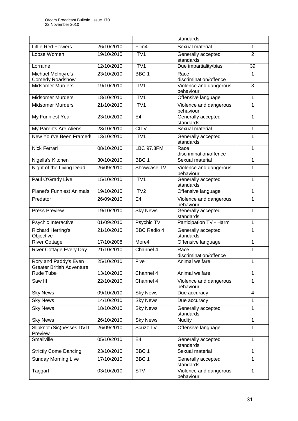|                                                           |            |                     | standards                                 |                |
|-----------------------------------------------------------|------------|---------------------|-------------------------------------------|----------------|
| <b>Little Red Flowers</b>                                 | 26/10/2010 | Film4               | Sexual material                           | 1              |
| Loose Women                                               | 19/10/2010 | ITV1                | Generally accepted<br>standards           | $\overline{2}$ |
| Lorraine                                                  | 12/10/2010 | ITV1                | Due impartiality/bias                     | 39             |
| Michael McIntyre's<br><b>Comedy Roadshow</b>              | 23/10/2010 | BBC <sub>1</sub>    | Race<br>discrimination/offence            | 1              |
| <b>Midsomer Murders</b>                                   | 19/10/2010 | ITV1                | Violence and dangerous<br>behaviour       | 3              |
| Midsomer Murders                                          | 18/10/2010 | ITV1                | Offensive language                        | $\mathbf{1}$   |
| <b>Midsomer Murders</b>                                   | 21/10/2010 | ITV1                | Violence and dangerous<br>behaviour       | 1              |
| My Funniest Year                                          | 23/10/2010 | E4                  | Generally accepted<br>standards           | 1              |
| My Parents Are Aliens                                     | 23/10/2010 | <b>CITV</b>         | Sexual material                           | $\mathbf{1}$   |
| New You've Been Framed!                                   | 13/10/2010 | ITV1                | Generally accepted<br>standards           | $\mathbf{1}$   |
| Nick Ferrari                                              | 08/10/2010 | <b>LBC 97.3FM</b>   | Race                                      | 1              |
| Nigella's Kitchen                                         | 30/10/2010 | BBC <sub>1</sub>    | discrimination/offence<br>Sexual material | 1              |
| Night of the Living Dead                                  | 26/09/2010 | Showcase TV         | Violence and dangerous                    | 1              |
|                                                           |            |                     | behaviour                                 |                |
| Paul O'Grady Live                                         | 15/10/2010 | ITV1                | Generally accepted<br>standards           | 1              |
| <b>Planet's Funniest Animals</b>                          | 19/10/2010 | ITV2                | Offensive language                        | 1              |
| Predator                                                  | 26/09/2010 | E <sub>4</sub>      | Violence and dangerous<br>behaviour       | 1              |
| <b>Press Preview</b>                                      | 19/10/2010 | <b>Sky News</b>     | Generally accepted<br>standards           | $\mathbf{1}$   |
| Psychic Interactive                                       | 01/09/2010 | Psychic TV          | Participation TV - Harm                   | 1              |
| Richard Herring's<br>Objective                            | 21/10/2010 | <b>BBC Radio 4</b>  | Generally accepted<br>standards           | 1              |
| <b>River Cottage</b>                                      | 17/10/2008 | More4               | Offensive language                        | 1              |
| <b>River Cottage Every Day</b>                            | 21/10/2010 | Channel 4           | Race<br>discrimination/offence            | 1              |
| Rory and Paddy's Even<br><b>Greater British Adventure</b> | 25/10/2010 | Five                | Animal welfare                            | 1              |
| Rude Tube                                                 | 13/10/2010 | Channel 4           | Animal welfare                            | $\mathbf{1}$   |
| Saw III                                                   | 22/10/2010 | Channel 4           | Violence and dangerous<br>behaviour       | 1              |
| <b>Sky News</b>                                           | 09/10/2010 | <b>Sky News</b>     | Due accuracy                              | $\overline{4}$ |
| <b>Sky News</b>                                           | 14/10/2010 | <b>Sky News</b>     | Due accuracy                              | $\mathbf{1}$   |
| <b>Sky News</b>                                           | 18/10/2010 | <b>Sky News</b>     | Generally accepted<br>standards           | 1              |
| <b>Sky News</b>                                           | 26/10/2010 | <b>Sky News</b>     | <b>Nudity</b>                             | $\mathbf{1}$   |
| Slipknot (Sic)nesses DVD<br>Preview                       | 26/09/2010 | Scuzz <sub>TV</sub> | Offensive language                        | $\mathbf{1}$   |
| Smallville                                                | 05/10/2010 | E <sub>4</sub>      | Generally accepted<br>standards           | $\mathbf{1}$   |
| <b>Strictly Come Dancing</b>                              | 23/10/2010 | BBC <sub>1</sub>    | Sexual material                           | $\mathbf{1}$   |
| <b>Sunday Morning Live</b>                                | 17/10/2010 | BBC <sub>1</sub>    | Generally accepted<br>standards           | 1              |
| Taggart                                                   | 03/10/2010 | STV                 | Violence and dangerous<br>behaviour       | $\mathbf{1}$   |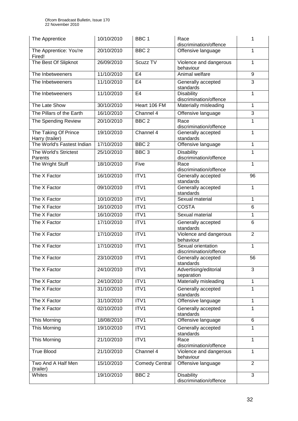| The Apprentice                          | 10/10/2010 | BBC <sub>1</sub>      | Race<br>discrimination/offence               | 1              |
|-----------------------------------------|------------|-----------------------|----------------------------------------------|----------------|
| The Apprentice: You're<br>Fired!        | 20/10/2010 | BBC <sub>2</sub>      | Offensive language                           | 1              |
| The Best Of Slipknot                    | 26/09/2010 | Scuzz <sub>TV</sub>   | Violence and dangerous<br>behaviour          | 1              |
| The Inbetweeners                        | 11/10/2010 | E <sub>4</sub>        | Animal welfare                               | 9              |
| The Inbetweeners                        | 11/10/2010 | E <sub>4</sub>        | Generally accepted<br>standards              | 3              |
| The Inbetweeners                        | 11/10/2010 | E <sub>4</sub>        | <b>Disability</b><br>discrimination/offence  | 1              |
| The Late Show                           | 30/10/2010 | Heart 106 FM          | Materially misleading                        | 1              |
| The Pillars of the Earth                | 16/10/2010 | Channel 4             | Offensive language                           | 3              |
| The Spending Review                     | 20/10/2010 | BBC <sub>2</sub>      | Race<br>discrimination/offence               | 1              |
| The Taking Of Prince<br>Harry (trailer) | 19/10/2010 | Channel 4             | Generally accepted<br>standards              | $\mathbf{1}$   |
| The World's Fastest Indian              | 17/10/2010 | BBC <sub>2</sub>      | Offensive language                           | 1              |
| The World's Strictest<br>Parents        | 25/10/2010 | BBC <sub>3</sub>      | <b>Disability</b><br>discrimination/offence  | 1              |
| The Wright Stuff                        | 18/10/2010 | Five                  | Race<br>discrimination/offence               | $\mathbf{1}$   |
| The X Factor                            | 16/10/2010 | ITV1                  | Generally accepted<br>standards              | 96             |
| The X Factor                            | 09/10/2010 | ITV1                  | Generally accepted<br>standards              | 1              |
| The X Factor                            | 10/10/2010 | ITV1                  | Sexual material                              | 1              |
| The X Factor                            | 16/10/2010 | ITV <sub>1</sub>      | <b>COSTA</b>                                 | $\,6\,$        |
| The X Factor                            | 16/10/2010 | ITV1                  | Sexual material                              | 1              |
| The X Factor                            | 17/10/2010 | ITV1                  | Generally accepted<br>standards              | 6              |
| The X Factor                            | 17/10/2010 | ITV1                  | Violence and dangerous<br>behaviour          | $\overline{2}$ |
| The X Factor                            | 17/10/2010 | ITV1                  | Sexual orientation<br>discrimination/offence | $\mathbf{1}$   |
| The X Factor                            | 23/10/2010 | ITV1                  | Generally accepted<br>standards              | 56             |
| The X Factor                            | 24/10/2010 | ITV1                  | Advertising/editorial<br>separation          | 3              |
| The X Factor                            | 24/10/2010 | ITV1                  | Materially misleading                        | 1              |
| The X Factor                            | 31/10/2010 | ITV1                  | Generally accepted<br>standards              | 1              |
| The X Factor                            | 31/10/2010 | ITV1                  | Offensive language                           | 1              |
| The X Factor                            | 02/10/2010 | ITV1                  | Generally accepted<br>standards              | 1              |
| This Morning                            | 18/08/2010 | ITV1                  | Offensive language                           | $6\phantom{1}$ |
| This Morning                            | 19/10/2010 | ITV1                  | Generally accepted<br>standards              | 1              |
| This Morning                            | 21/10/2010 | ITV1                  | Race<br>discrimination/offence               | $\mathbf{1}$   |
| <b>True Blood</b>                       | 21/10/2010 | Channel 4             | Violence and dangerous<br>behaviour          | 1              |
| Two And A Half Men<br>(trailer)         | 15/10/2010 | <b>Comedy Central</b> | Offensive language                           | $\overline{2}$ |
| Whites                                  | 19/10/2010 | BBC <sub>2</sub>      | Disability<br>discrimination/offence         | 3              |